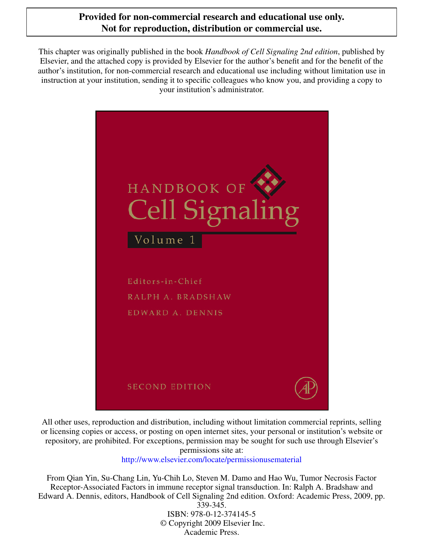#### **Provided for non-commercial research and educational use only. Not for reproduction, distribution or commercial use.**

This chapter was originally published in the book *Handbook of Cell Signaling 2nd edition*, published by Elsevier, and the attached copy is provided by Elsevier for the author's benefit and for the benefit of the author's institution, for non-commercial research and educational use including without limitation use in instruction at your institution, sending it to specific colleagues who know you, and providing a copy to your institution's administrator.



All other uses, reproduction and distribution, including without limitation commercial reprints, selling or licensing copies or access, or posting on open internet sites, your personal or institution's website or repository, are prohibited. For exceptions, permission may be sought for such use through Elsevier's permissions site at:

<http://www.elsevier.com/locate/permissionusematerial>

From Qian Yin, Su-Chang Lin, Yu-Chih Lo, Steven M. Damo and Hao Wu, Tumor Necrosis Factor Receptor-Associated Factors in immune receptor signal transduction. In: Ralph A. Bradshaw and Edward A. Dennis, editors, Handbook of Cell Signaling 2nd edition. Oxford: Academic Press, 2009, pp. 339-345.

ISBN: 978-0-12-374145-5 © Copyright 2009 Elsevier Inc. Academic Press.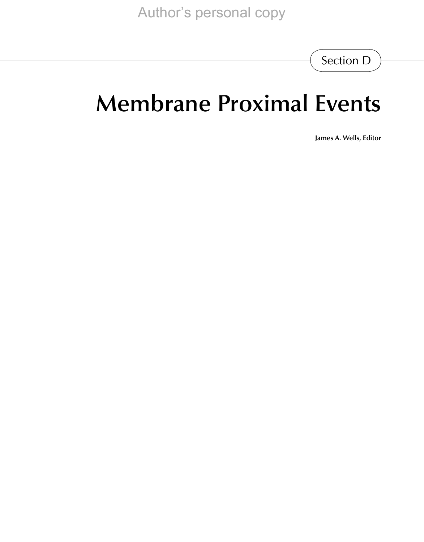Section D

# **Membrane Proximal Events**

**James A. Wells, Editor**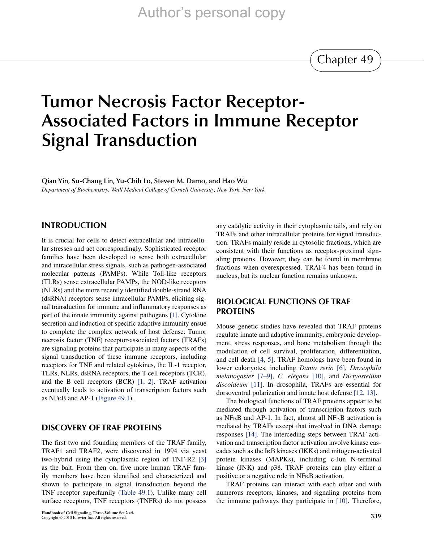Chapter 49

## **Tumor Necrosis Factor Receptor-Associated Factors in Immune Receptor Signal Transduction**

**Qian Yin, Su-Chang Lin, Yu-Chih Lo, Steven M. Damo, and Hao Wu**

*Department of Biochemistry, Weill Medical College of Cornell University, New York, New York*

#### **Introduction**

It is crucial for cells to detect extracellular and intracellular stresses and act correspondingly. Sophisticated receptor families have been developed to sense both extracellular and intracellular stress signals, such as pathogen-associated molecular patterns (PAMPs). While Toll-like receptors (TLRs) sense extracellular PAMPs, the NOD-like receptors (NLRs) and the more recently identified double-strand RNA (dsRNA) receptors sense intracellular PAMPs, eliciting signal transduction for immune and inflammatory responses as part of the innate immunity against pathogens [\[1\].](#page-6-0) Cytokine secretion and induction of specific adaptive immunity ensue to complete the complex network of host defense. Tumor necrosis factor (TNF) receptor-associated factors (TRAFs) are signaling proteins that participate in many aspects of the signal transduction of these immune receptors, including receptors for TNF and related cytokines, the IL-1 receptor, TLRs, NLRs, dsRNA receptors, the T cell receptors (TCR), and the B cell receptors (BCR) [\[1, 2\]](#page-6-0). TRAF activation eventually leads to activation of transcription factors such as NF $\kappa$ B and AP-1 ([Figure 49.1\)](#page-3-0).

#### **Discovery of TRAF proteins**

The first two and founding members of the TRAF family, TRAF1 and TRAF2, were discovered in 1994 via yeast two-hybrid using the cytoplasmic region of TNF-R2 [\[3\]](#page-6-1) as the bait. From then on, five more human TRAF family members have been identified and characterized and shown to participate in signal transduction beyond the TNF receptor superfamily [\(Table 49.1](#page-3-1)). Unlike many cell surface receptors, TNF receptors (TNFRs) do not possess any catalytic activity in their cytoplasmic tails, and rely on TRAFs and other intracellular proteins for signal transduction. TRAFs mainly reside in cytosolic fractions, which are consistent with their functions as receptor-proximal signaling proteins. However, they can be found in membrane fractions when overexpressed. TRAF4 has been found in nucleus, but its nuclear function remains unknown.

#### **Biological functions of TRAF proteins**

Mouse genetic studies have revealed that TRAF proteins regulate innate and adaptive immunity, embryonic development, stress responses, and bone metabolism through the modulation of cell survival, proliferation, differentiation, and cell death [\[4, 5\].](#page-6-2) TRAF homologs have been found in lower eukaryotes, including *Danio rerio* [\[6\]](#page-6-3), *Drosophila melanogaster* [\[7–9\],](#page-6-4) *C. elegans* [\[10\],](#page-6-5) and *Dictyostelium discoideum* [\[11\]](#page-6-6). In drosophila, TRAFs are essential for dorsoventral polarization and innate host defense [\[12, 13\].](#page-6-7)

The biological functions of TRAF proteins appear to be mediated through activation of transcription factors such as NF $\kappa$ B and AP-1. In fact, almost all NF $\kappa$ B activation is mediated by TRAFs except that involved in DNA damage responses [\[14\]](#page-6-8). The interceding steps between TRAF activation and transcription factor activation involve kinase cascades such as the  $I<sub>K</sub>B$  kinases (IKKs) and mitogen-activated protein kinases (MAPKs), including c-Jun N-terminal kinase (JNK) and p38. TRAF proteins can play either a positive or a negative role in NF<sub>K</sub>B activation.

TRAF proteins can interact with each other and with numerous receptors, kinases, and signaling proteins from the immune pathways they participate in [\[10\]](#page-6-5). Therefore,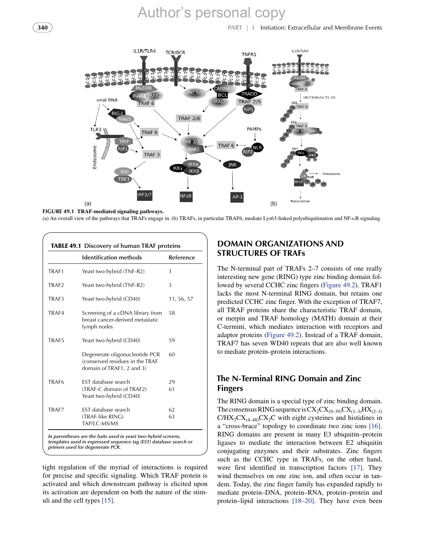**340 PART | I** Initiation: Extracellular and Membrane Events



<span id="page-3-0"></span>(a) An overall view of the pathways that TRAFs engage in. (b) TRAFs, in particular TRAF6, mediate Lys63-linked polyubiquitination and NF- $\kappa$ B signaling.

<span id="page-3-1"></span>

|                   | <b>Identification methods</b>                                                                  | Reference  |
|-------------------|------------------------------------------------------------------------------------------------|------------|
| TRAF1             | Yeast two-hybrid (TNF-R2)                                                                      | 3          |
| TRAF <sub>2</sub> | Yeast two-hybrid (TNF-R2)                                                                      | 3          |
| TRAF3             | Yeast two-hybrid (CD40)                                                                        | 11, 56, 57 |
| TRAF4             | Screening of a cDNA library from<br>breast cancer-derived metastatic<br>lymph nodes            | 58         |
| TRAF5             | Yeast two-hybrid (CD40)                                                                        | 59         |
|                   | Degenerate oligonucleotide PCR<br>(conserved residues in the TRAF<br>domain of TRAF1, 2 and 3) | 60         |
| TRAF <sub>6</sub> | <b>EST</b> database search                                                                     | 29         |
|                   | (TRAF-C domain of TRAF2)<br>Yeast two-hybrid (CD40)                                            | 61         |
| TRAF7             | <b>EST</b> database search                                                                     | 62         |
|                   | (TRAF-like RING)<br>TAP/LC-MS/MS                                                               | 63         |

tight regulation of the myriad of interactions is required for precise and specific signaling. Which TRAF protein is activated and which downstream pathway is elicited upon its activation are dependent on both the nature of the stimuli and the cell types [\[15\]](#page-6-9).

#### **Domain organizations and structures of TRAFs**

The N-terminal part of TRAFs 2–7 consists of one really interesting new gene (RING) type zinc binding domain followed by several CCHC zinc fingers ([Figure 49.2\)](#page-4-0). TRAF1 lacks the most N-terminal RING domain, but retains one predicted CCHC zinc finger. With the exception of TRAF7, all TRAF proteins share the characteristic TRAF domain, or merpin and TRAF homology (MATH) domain at their C-termini, which mediates interaction with receptors and adaptor proteins [\(Figure 49.2\)](#page-4-0). Instead of a TRAF domain, TRAF7 has seven WD40 repeats that are also well known to mediate protein–protein interactions.

#### **The N-Terminal RING Domain and Zinc Fingers**

The RING domain is a special type of zinc binding domain. The consensus RING sequence is  $CX_2CX_{(9-39)}CX_{(1-3)}HX_{(2-3)}$  $C/HX_2CX_{(4-48)}CX_2C$  with eight cysteines and histidines in a "cross-brace" topology to coordinate two zinc ions [\[16\]](#page-7-0). RING domains are present in many E3 ubiquitin–protein ligases to mediate the interaction between E2 ubiquitin conjugating enzymes and their substrates. Zinc fingers such as the CCHC type in TRAFs, on the other hand, were first identified in transcription factors [\[17\]](#page-7-1). They wind themselves on one zinc ion, and often occur in tandem. Today, the zinc finger family has expanded rapidly to mediate protein–DNA, protein–RNA, protein–protein and protein–lipid interactions [\[18–20\].](#page-7-2) They have even been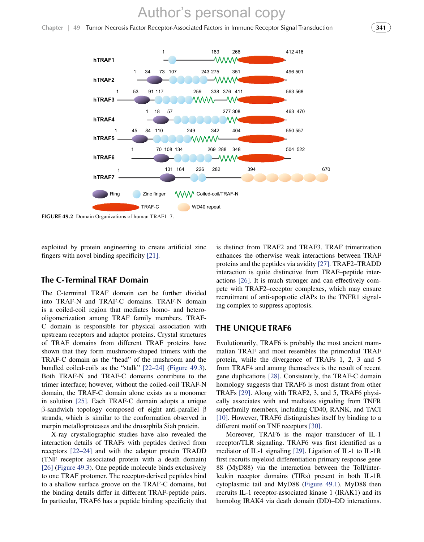**Chapter | 49** Tumor Necrosis Factor Receptor-Associated Factors in Immune Receptor Signal Transduction **341**



<span id="page-4-0"></span>**FIGURE 49.2** Domain Organizations of human TRAF1-7.

exploited by protein engineering to create artificial zinc fingers with novel binding specificity [\[21\]](#page-7-3).

#### **The C-Terminal TRAF Domain**

The C-terminal TRAF domain can be further divided into TRAF-N and TRAF-C domains. TRAF-N domain is a coiled-coil region that mediates homo- and heterooligomerization among TRAF family members. TRAF-C domain is responsible for physical association with upstream receptors and adaptor proteins. Crystal structures of TRAF domains from different TRAF proteins have shown that they form mushroom-shaped trimers with the TRAF-C domain as the "head" of the mushroom and the bundled coiled-coils as the "stalk" [\[22–24\]](#page-7-4) ([Figure 49.3](#page-5-0)). Both TRAF-N and TRAF-C domains contribute to the trimer interface; however, without the coiled-coil TRAF-N domain, the TRAF-C domain alone exists as a monomer in solution [\[25\].](#page-7-5) Each TRAF-C domain adopts a unique  $\beta$ -sandwich topology composed of eight anti-parallel  $\beta$ strands, which is similar to the conformation observed in merpin metalloproteases and the drosophila Siah protein.

X-ray crystallographic studies have also revealed the interaction details of TRAFs with peptides derived from receptors [\[22–24\]](#page-7-4) and with the adaptor protein TRADD (TNF receptor associated protein with a death domain) [\[26\]](#page-7-6) ([Figure 49.3](#page-5-0)). One peptide molecule binds exclusively to one TRAF protomer. The receptor-derived peptides bind to a shallow surface groove on the TRAF-C domains, but the binding details differ in different TRAF-peptide pairs. In particular, TRAF6 has a peptide binding specificity that

is distinct from TRAF2 and TRAF3. TRAF trimerization enhances the otherwise weak interactions between TRAF proteins and the peptides via avidity [\[27\].](#page-7-7) TRAF2–TRADD interaction is quite distinctive from TRAF–peptide interactions [\[26\].](#page-7-6) It is much stronger and can effectively compete with TRAF2–receptor complexes, which may ensure recruitment of anti-apoptotic cIAPs to the TNFR1 signaling complex to suppress apoptosis.

#### **The unique TRAF6**

Evolutionarily, TRAF6 is probably the most ancient mammalian TRAF and most resembles the primordial TRAF protein, while the divergence of TRAFs 1, 2, 3 and 5 from TRAF4 and among themselves is the result of recent gene duplications [\[28\].](#page-7-8) Consistently, the TRAF-C domain homology suggests that TRAF6 is most distant from other TRAFs [\[29\].](#page-7-9) Along with TRAF2, 3, and 5, TRAF6 physically associates with and mediates signaling from TNFR superfamily members, including CD40, RANK, and TACI [\[10\].](#page-6-5) However, TRAF6 distinguishes itself by binding to a different motif on TNF receptors [\[30\].](#page-7-10)

Moreover, TRAF6 is the major transducer of IL-1 receptor/TLR signaling. TRAF6 was first identified as a mediator of IL-1 signaling [\[29\].](#page-7-9) Ligation of IL-1 to IL-1R first recruits myeloid differentiation primary response gene 88 (MyD88) via the interaction between the Toll/interleukin receptor domains (TIRs) present in both IL-1R cytoplasmic tail and MyD88 ([Figure 49.1\)](#page-3-0). MyD88 then recruits IL-1 receptor-associated kinase 1 (IRAK1) and its homolog IRAK4 via death domain (DD)–DD interactions.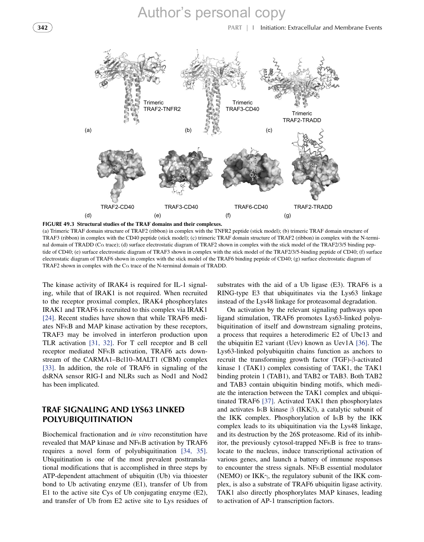

<span id="page-5-0"></span>(a) Trimeric TRAF domain structure of TRAF2 (ribbon) in complex with the TNFR2 peptide (stick model); (b) trimeric TRAF domain structure of TRAF3 (ribbon) in complex with the CD40 peptide (stick model); (c) trimeric TRAF domain structure of TRAF2 (ribbon) in complex with the N-terminal domain of TRADD ( $C\alpha$  trace); (d) surface electrostatic diagram of TRAF2 shown in complex with the stick model of the TRAF2/3/5 binding peptide of CD40; (e) surface electrostatic diagram of TRAF3 shown in complex with the stick model of the TRAF2/3/5-binding peptide of CD40; (f) surface electrostatic diagram of TRAF6 shown in complex with the stick model of the TRAF6 binding peptide of CD40; (g) surface electrostatic diagram of TRAF2 shown in complex with the  $C\alpha$  trace of the N-terminal domain of TRADD.

The kinase activity of IRAK4 is required for IL-1 signaling, while that of IRAK1 is not required. When recruited to the receptor proximal complex, IRAK4 phosphorylates IRAK1 and TRAF6 is recruited to this complex via IRAK1 [\[24\]](#page-7-11). Recent studies have shown that while TRAF6 mediates  $NFRB$  and  $MAP$  kinase activation by these receptors, TRAF3 may be involved in interferon production upon TLR activation [\[31, 32\]](#page-7-12). For T cell receptor and B cell receptor mediated NFKB activation, TRAF6 acts downstream of the CARMA1–Bcl10–MALT1 (CBM) complex [\[33\]](#page-7-13). In addition, the role of TRAF6 in signaling of the dsRNA sensor RIG-I and NLRs such as Nod1 and Nod2 has been implicated.

#### **TRAF signaling and Lys63 linked polyubiquitination**

Biochemical fractionation and *in vitro* reconstitution have revealed that MAP kinase and  $N$ F $\kappa$ B activation by TRAF6 requires a novel form of polyubiquitination [\[34, 35\]](#page-7-14). Ubiquitination is one of the most prevalent posttranslational modifications that is accomplished in three steps by ATP-dependent attachment of ubiquitin (Ub) via thioester bond to Ub activating enzyme (E1), transfer of Ub from E1 to the active site Cys of Ub conjugating enzyme (E2), and transfer of Ub from E2 active site to Lys residues of

substrates with the aid of a Ub ligase (E3). TRAF6 is a RING-type E3 that ubiquitinates via the Lys63 linkage instead of the Lys48 linkage for proteasomal degradation.

On activation by the relevant signaling pathways upon ligand stimulation, TRAF6 promotes Lys63-linked polyubiquitination of itself and downstream signaling proteins, a process that requires a heterodimeric E2 of Ubc13 and the ubiquitin E2 variant (Uev) known as Uev1A [\[36\].](#page-7-15) The Lys63-linked polyubiquitin chains function as anchors to recruit the transforming growth factor  $(TGF)-\beta$ -activated kinase 1 (TAK1) complex consisting of TAK1, the TAK1 binding protein 1 (TAB1), and TAB2 or TAB3. Both TAB2 and TAB3 contain ubiquitin binding motifs, which mediate the interaction between the TAK1 complex and ubiquitinated TRAF6 [\[37\]](#page-7-16). Activated TAK1 then phosphorylates and activates I<sub>K</sub>B kinase  $\beta$  (IKK $\beta$ ), a catalytic subunit of the IKK complex. Phosphorylation of  $I\kappa B$  by the IKK complex leads to its ubiquitination via the Lys48 linkage, and its destruction by the 26S proteasome. Rid of its inhibitor, the previously cytosol-trapped  $NFRB$  is free to translocate to the nucleus, induce transcriptional activation of various genes, and launch a battery of immune responses to encounter the stress signals. NF $\kappa$ B essential modulator (NEMO) or IKK $\gamma$ , the regulatory subunit of the IKK complex, is also a substrate of TRAF6 ubiquitin ligase activity. TAK1 also directly phosphorylates MAP kinases, leading to activation of AP-1 transcription factors.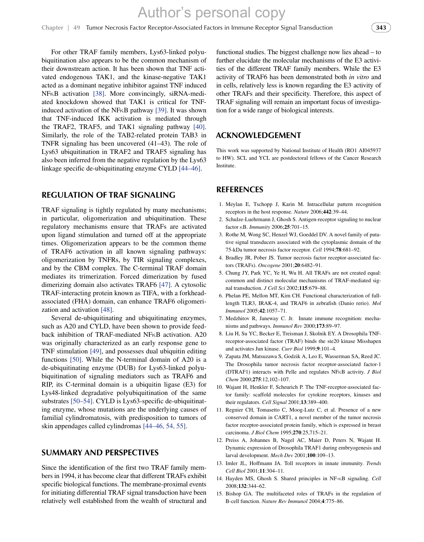For other TRAF family members, Lys63-linked polyubiquitination also appears to be the common mechanism of their downstream action. It has been shown that TNF activated endogenous TAK1, and the kinase-negative TAK1 acted as a dominant negative inhibitor against TNF induced NF<sub>K</sub>B activation [\[38\].](#page-7-17) More convincingly, siRNA-mediated knockdown showed that TAK1 is critical for TNFinduced activation of the NF $\kappa$ B pathway [\[39\].](#page-7-18) It was shown that TNF-induced IKK activation is mediated through the TRAF2, TRAF5, and TAK1 signaling pathway [\[40\].](#page-7-19) Similarly, the role of the TAB2-related protein TAB3 in TNFR signaling has been uncovered (41–43). The role of Lys63 ubiquitination in TRAF2 and TRAF5 signaling has also been inferred from the negative regulation by the Lys63 linkage specific de-ubiquitinating enzyme CYLD [\[44–46\].](#page-7-20)

#### **Regulation of TRAF signaling**

TRAF signaling is tightly regulated by many mechanisms; in particular, oligomerization and ubiquitination. These regulatory mechanisms ensure that TRAFs are activated upon ligand stimulation and turned off at the appropriate times. Oligomerization appears to be the common theme of TRAF6 activation in all known signaling pathways: oligomerization by TNFRs, by TIR signaling complexes, and by the CBM complex. The C-terminal TRAF domain mediates its trimerization. Forced dimerization by fused dimerizing domain also activates TRAF6 [\[47\]](#page-7-21). A cytosolic TRAF-interacting protein known as TIFA, with a forkheadassociated (FHA) domain, can enhance TRAF6 oligomerization and activation [\[48\]](#page-7-22).

Several de-ubiquitinating and ubiquitinating enzymes, such as A20 and CYLD, have been shown to provide feedback inhibition of TRAF-mediated NFKB activation. A20 was originally characterized as an early response gene to TNF stimulation [\[49\],](#page-7-23) and possesses dual ubiquitin editing functions [\[50\].](#page-7-24) While the N-terminal domain of A20 is a de-ubiquitinating enzyme (DUB) for Lys63-linked polyubiquitination of signaling mediators such as TRAF6 and RIP, its C-terminal domain is a ubiquitin ligase (E3) for Lys48-linked degradative polyubiquitination of the same substrates [\[50–54\].](#page-7-24) CYLD is Lys63-specific de-ubiquitinating enzyme, whose mutations are the underlying causes of familial cylindromatosis, with predisposition to tumors of skin appendages called cylindromas [\[44–46, 54, 55\]](#page-7-20).

#### **Summary and perspectives**

Since the identification of the first two TRAF family members in 1994, it has become clear that different TRAFs exhibit specific biological functions. The membrane-proximal events for initiating differential TRAF signal transduction have been relatively well established from the wealth of structural and functional studies. The biggest challenge now lies ahead – to further elucidate the molecular mechanisms of the E3 activities of the different TRAF family members. While the E3 activity of TRAF6 has been demonstrated both *in vitro* and in cells, relatively less is known regarding the E3 activity of other TRAFs and their specificity. Therefore, this aspect of TRAF signaling will remain an important focus of investigation for a wide range of biological interests.

#### **Acknowledgement**

This work was supported by National Institute of Health (RO1 AI045937 to HW). SCL and YCL are postdoctoral fellows of the Cancer Research Institute.

#### **References**

- <span id="page-6-0"></span>1. Meylan E, Tschopp J, Karin M. Intracellular pattern recognition receptors in the host response. *Nature* 2006;**442**:39–44.
- 2. Schulze-Luehrmann J, Ghosh S. Antigen-receptor signaling to nuclear factor B. *Immunity* 2006;**25**:701–15.
- <span id="page-6-1"></span>3. Rothe M, Wong SC, Henzel WJ, Goeddel DV. A novel family of putative signal transducers associated with the cytoplasmic domain of the 75-kDa tumor necrosis factor receptor. *Cell* 1994;**78**:681–92.
- <span id="page-6-2"></span>4. Bradley JR, Pober JS. Tumor necrosis factor receptor-associated factors (TRAFs). *Oncogene* 2001;**20**:6482–91.
- 5. Chung JY, Park YC, Ye H, Wu H. All TRAFs are not created equal: common and distinct molecular mechanisms of TRAF-mediated signal transduction. *J Cell Sci* 2002;**115**:679–88.
- <span id="page-6-3"></span>6. Phelan PE, Mellon MT, Kim CH. Functional characterization of fulllength TLR3, IRAK-4, and TRAF6 in zebrafish (Danio rerio). *Mol Immunol* 2005;**42**:1057–71.
- <span id="page-6-4"></span>7. Medzhitov R, Janeway C. Jr. Innate immune recognition: mechanisms and pathways. *Immunol Rev* 2000;**173**:89–97.
- 8. Liu H, Su YC, Becker E, Treisman J, Skolnik EY. A Drosophila TNFreceptor-associated factor (TRAF) binds the ste20 kinase Misshapen and activates Jun kinase. *Curr Biol* 1999;**9**:101–4.
- 9. Zapata JM, Matsuzawa S, Godzik A, Leo E, Wasserman SA, Reed JC. The Drosophila tumor necrosis factor receptor-associated factor-1 (DTRAF1) interacts with Pelle and regulates NF<sub>K</sub>B activity. *J Biol Chem* 2000;**275**:12,102–107.
- <span id="page-6-5"></span>10. Wajant H, Henkler F, Scheurich P. The TNF-receptor-associated factor family: scaffold molecules for cytokine receptors, kinases and their regulators. *Cell Signal* 2001;**13**:389–400.
- <span id="page-6-6"></span>11. Regnier CH, Tomasetto C, Moog-Lutz C, et al. Presence of a new conserved domain in CART1, a novel member of the tumor necrosis factor receptor-associated protein family, which is expressed in breast carcinoma. *J Biol Chem* 1995;**270**:25,715–21.
- <span id="page-6-7"></span>12. Preiss A, Johannes B, Nagel AC, Maier D, Peters N, Wajant H. Dynamic expression of Drosophila TRAF1 during embryogenesis and larval development. *Mech Dev* 2001;**100**:109–13.
- 13. Imler JL, Hoffmann JA. Toll receptors in innate immunity. *Trends Cell Biol* 2001;**11**:304–11.
- <span id="page-6-8"></span>14. Hayden MS, Ghosh S. Shared principles in NF-KB signaling. *Cell* 2008;**132**:344–62.
- <span id="page-6-9"></span>15. Bishop GA. The multifaceted roles of TRAFs in the regulation of B-cell function. *Nature Rev Immunol* 2004;**4**:775–86.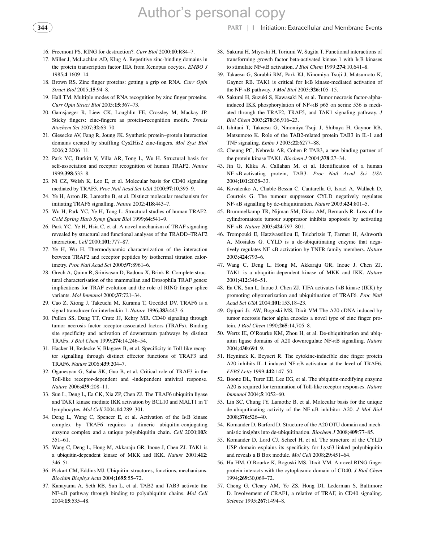**344 PART | I** Initiation: Extracellular and Membrane Events

- <span id="page-7-0"></span>16. Freemont PS. RING for destruction?. *Curr Biol* 2000;**10**:R84–7.
- <span id="page-7-1"></span>17. Miller J, McLachlan AD, Klug A. Repetitive zinc-binding domains in the protein transcription factor IIIA from Xenopus oocytes. *EMBO J* 1985;**4**:1609–14.
- <span id="page-7-2"></span>18. Brown RS. Zinc finger proteins: getting a grip on RNA. *Curr Opin Struct Biol* 2005;**15**:94–8.
- 19. Hall TM. Multiple modes of RNA recognition by zinc finger proteins. *Curr Opin Struct Biol* 2005;**15**:367–73.
- 20. Gamsjaeger R, Liew CK, Loughlin FE, Crossley M, Mackay JP. Sticky fingers: zinc-fingers as protein-recognition motifs. *Trends Biochem Sci* 2007;**32**:63–70.
- <span id="page-7-3"></span>21. Giesecke AV, Fang R, Joung JK. Synthetic protein–protein interaction domains created by shuffling Cys2His2 zinc-fingers. *Mol Syst Biol* 2006;**2**:2006–11.
- <span id="page-7-4"></span>22. Park YC, Burkitt V, Villa AR, Tong L, Wu H. Structural basis for self-association and receptor recognition of human TRAF2. *Nature* 1999;**398**:533–8.
- 23. Ni CZ, Welsh K, Leo E, et al. Molecular basis for CD40 signaling mediated by TRAF3. *Proc Natl Acad Sci USA* 2000;**97**:10,395–9.
- <span id="page-7-11"></span>24. Ye H, Arron JR, Lamothe B, et al. Distinct molecular mechanism for initiating TRAF6 signalling. *Nature* 2002;**418**:443–7.
- <span id="page-7-5"></span>25. Wu H, Park YC, Ye H, Tong L. Structural studies of human TRAF2. *Cold Spring Harb Symp Quant Biol* 1999;**64**:541–9.
- <span id="page-7-6"></span>26. Park YC, Ye H, Hsia C, et al. A novel mechanism of TRAF signaling revealed by structural and functional analyses of the TRADD–TRAF2 interaction. *Cell* 2000;**101**:777–87.
- <span id="page-7-7"></span>27. Ye H, Wu H. Thermodynamic characterization of the interaction between TRAF2 and receptor peptides by isothermal titration calorimetry. *Proc Natl Acad Sci* 2000;**97**:8961–6.
- <span id="page-7-8"></span>28. Grech A, Quinn R, Srinivasan D, Badoux X, Brink R. Complete structural characterisation of the mammalian and Drosophila TRAF genes: implications for TRAF evolution and the role of RING finger splice variants. *Mol Immunol* 2000;**37**:721–34.
- <span id="page-7-9"></span>29. Cao Z, Xiong J, Takeuchi M, Kurama T, Goeddel DV. TRAF6 is a signal transducer for interleukin-1. *Nature* 1996;**383**:443–6.
- <span id="page-7-10"></span>30. Pullen SS, Dang TT, Crute JJ, Kehry MR. CD40 signaling through tumor necrosis factor receptor-associated factors (TRAFs). Binding site specificity and activation of downstream pathways by distinct TRAFs. *J Biol Chem* 1999;**274**:14,246–54.
- <span id="page-7-12"></span>31. Hacker H, Redecke V, Blagoev B, et al. Specificity in Toll-like receptor signalling through distinct effector functions of TRAF3 and TRAF6. *Nature* 2006;**439**:204–7.
- 32. Oganesyan G, Saha SK, Guo B, et al. Critical role of TRAF3 in the Toll-like receptor-dependent and -independent antiviral response. *Nature* 2006;**439**:208–11.
- <span id="page-7-13"></span>33. Sun L, Deng L, Ea CK, Xia ZP, Chen ZJ. The TRAF6 ubiquitin ligase and TAK1 kinase mediate IKK activation by BCL10 and MALT1 in T lymphocytes. *Mol Cell* 2004;**14**:289–301.
- <span id="page-7-14"></span>34. Deng L, Wang C, Spencer E, et al. Activation of the IKB kinase complex by TRAF6 requires a dimeric ubiquitin-conjugating enzyme complex and a unique polyubiquitin chain. *Cell* 2000;**103**: 351–61.
- 35. Wang C, Deng L, Hong M, Akkaraju GR, Inoue J, Chen ZJ. TAK1 is a ubiquitin-dependent kinase of MKK and IKK. *Nature* 2001;**412**: 346–51.
- <span id="page-7-15"></span>36. Pickart CM, Eddins MJ. Ubiquitin: structures, functions, mechanisms. *Biochim Biophys Acta* 2004;**1695**:55–72.
- <span id="page-7-16"></span>37. Kanayama A, Seth RB, Sun L, et al. TAB2 and TAB3 activate the NF-KB pathway through binding to polyubiquitin chains. Mol Cell 2004;**15**:535–48.
- <span id="page-7-17"></span>38. Sakurai H, Miyoshi H, Toriumi W, Sugita T. Functional interactions of transforming growth factor beta-activated kinase 1 with IKB kinases to stimulate NF- $\kappa$ B activation. *J Biol Chem* 1999; 274:10, 641–8.
- <span id="page-7-18"></span>39. Takaesu G, Surabhi RM, Park KJ, Ninomiya-Tsuji J, Matsumoto K, Gaynor RB. TAK1 is critical for IKB kinase-mediated activation of the NF-B pathway. *J Mol Biol* 2003;**326**:105–15.
- <span id="page-7-19"></span>40. Sakurai H, Suzuki S, Kawasaki N, et al. Tumor necrosis factor-alphainduced IKK phosphorylation of NF-KB p65 on serine 536 is mediated through the TRAF2, TRAF5, and TAK1 signaling pathway. *J Biol Chem* 2003;**278**:36,916–23.
- 41. Ishitani T, Takaesu G, Ninomiya-Tsuji J, Shibuya H, Gaynor RB, Matsumoto K. Role of the TAB2-related protein TAB3 in IL-1 and TNF signaling. *Embo J* 2003;**22**:6277–88.
- 42. Cheung PC, Nebreda AR, Cohen P. TAB3, a new binding partner of the protein kinase TAK1. *Biochem J* 2004;**378**:27–34.
- 43. Jin G, Klika A, Callahan M, et al. Identification of a human NF-B-activating protein, TAB3. *Proc Natl Acad Sci USA* 2004;**101**:2028–33.
- <span id="page-7-20"></span>44. Kovalenko A, Chable-Bessia C, Cantarella G, Israel A, Wallach D, Courtois G. The tumour suppressor CYLD negatively regulates NF-B signalling by de-ubiquitination. *Nature* 2003;**424**:801–5.
- 45. Brummelkamp TR, Nijman SM, Dirac AM, Bernards R. Loss of the cylindromatosis tumour suppressor inhibits apoptosis by activating NF-B. *Nature* 2003;**424**:797–801.
- 46. Trompouki E, Hatzivassiliou E, Tsichritzis T, Farmer H, Ashworth A, Mosialos G. CYLD is a de-ubiquitinating enzyme that negatively regulates NF-<sub>K</sub>B activation by TNFR family members. *Nature* 2003;**424**:793–6.
- <span id="page-7-21"></span>47. Wang C, Deng L, Hong M, Akkaraju GR, Inoue J, Chen ZJ. TAK1 is a ubiquitin-dependent kinase of MKK and IKK. *Nature* 2001;**412**:346–51.
- <span id="page-7-22"></span>48. Ea CK, Sun L, Inoue J, Chen ZJ. TIFA activates IKB kinase (IKK) by promoting oligomerization and ubiquitination of TRAF6. *Proc Natl Acad Sci USA* 2004;**101**:153,18–23.
- <span id="page-7-23"></span>49. Opipari Jr. AW, Boguski MS, Dixit VM The A20 cDNA induced by tumor necrosis factor alpha encodes a novel type of zinc finger protein. *J Biol Chem* 1990;**265**:14,705–8.
- <span id="page-7-24"></span>50. Wertz IE, O'Rourke KM, Zhou H, et al. De-ubiquitination and ubiquitin ligase domains of A20 downregulate NF- $\kappa$ B signalling. *Nature* 2004;**430**:694–9.
- 51. Heyninck K, Beyaert R. The cytokine-inducible zinc finger protein A20 inhibits IL-1-induced NF-<sub>K</sub>B activation at the level of TRAF6. *FEBS Letts* 1999;**442**:147–50.
- 52. Boone DL, Turer EE, Lee EG, et al. The ubiquitin-modifying enzyme A20 is required for termination of Toll-like receptor responses. *Nature Immunol* 2004;**5**:1052–60.
- 53. Lin SC, Chung JY, Lamothe B, et al. Molecular basis for the unique de-ubiquitinating activity of the NF-<sub>K</sub>B inhibitor A20. *J Mol Biol* 2008;**376**:526–40.
- 54. Komander D, Barford D. Structure of the A20 OTU domain and mechanistic insights into de-ubiquitination. *Biochem J* 2008;**409**:77–85.
- 55. Komander D, Lord CJ, Scheel H, et al. The structure of the CYLD USP domain explains its specificity for Lys63-linked polyubiquitin and reveals a B Box module. *Mol Cell* 2008;**29**:451–64.
- 56. Hu HM, O'Rourke K, Boguski MS, Dixit VM. A novel RING finger protein interacts with the cytoplasmic domain of CD40. *J Biol Chem* 1994;**269**:30,069–72.
- 57. Cheng G, Cleary AM, Ye ZS, Hong DI, Lederman S, Baltimore D. Involvement of CRAF1, a relative of TRAF, in CD40 signaling. *Science* 1995;**267**:1494–8.